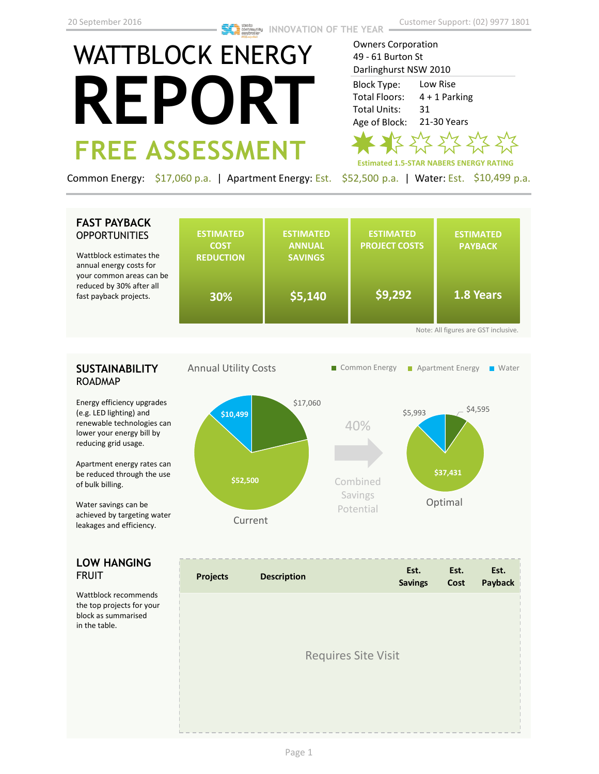# WATTBLOCK ENERGY **REPORT FREE ASSESSMENT**

Owners Corporation 49 - 61 Burton St Darlinghurst NSW 2010 Low Rise 4 + 1 Parking 31 21-30 Years Block Type: Total Floors: Total Units: Age of Block:

**Estimated 1.5-STAR NABERS ENERGY RATING**

Common Energy: \$17,060 p.a. | Apartment Energy: Est. \$52,500 p.a. | Water: Est. \$10,499 p.a.

## **FAST PAYBACK OPPORTUNITIES**

Wattblock estimates the annual energy costs for your common areas can be reduced by 30% after all fast payback projects.

|    | <b>ESTIMATED</b><br><b>COST</b><br><b>REDUCTION</b> | <b>ESTIMATED</b><br><b>ANNUAL</b><br><b>SAVINGS</b> | <b>ESTIMATED</b><br><b>PROJECT COSTS</b> | <b>ESTIMATED</b><br><b>PAYBACK</b> |  |  |  |
|----|-----------------------------------------------------|-----------------------------------------------------|------------------------------------------|------------------------------------|--|--|--|
| be | 30%                                                 | \$5,140                                             | \$9,292                                  | 1.8 Years                          |  |  |  |
|    | Note: All figures are GST inclusive.                |                                                     |                                          |                                    |  |  |  |

## **SUSTAINABILITY** ROADMAP

Energy efficiency upgrades (e.g. LED lighting) and renewable technologies can lower your energy bill by reducing grid usage.

Apartment energy rates can be reduced through the use of bulk billing.

Water savings can be achieved by targeting water leakages and efficiency.

## **LOW HANGING**  FRUIT

Wattblock recommends the top projects for your block as summarised in the table.